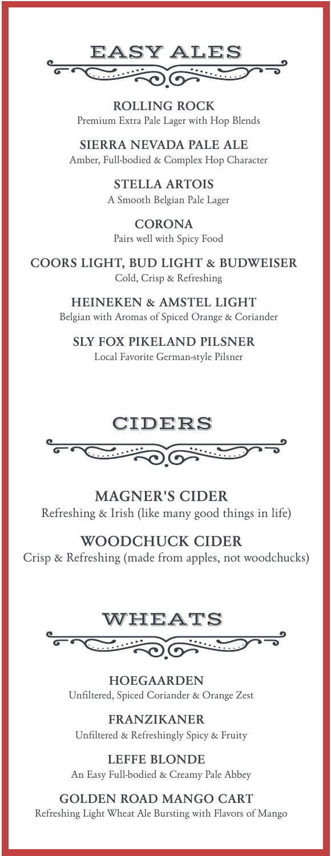

**ROLLING ROCK** Premium Extra Pale Lager with Hop Blends

**SIERRA NEVADA PALE ALE** Amber, Full-bodied & Complex Hop Character

> **STELLA ARTOIS** A Smooth Belgian Pale Lager

**CORONA** Pairs well with Spicy Food

**COORS LIGHT, BUD LIGHT & BUDWEISER** Cold, Crisp & Refreshing

> **HEINEKEN & AMSTEL LIGHT** Belgian with Aromas of Spiced Orange & Coriander

**SLY FOX PIKELAND PILSNER** Local Favorite German-style Pilsner

## CIDERS



**MAGNER'S CIDER** Refreshing & Irish (like many good things in life)

**WOODCHUCK CIDER**

Crisp & Refreshing (made from apples, not woodchucks)



**HOEGAARDEN** Unfiltered, Spiced Coriander & Orange Zest

**FRANZIKANER** Unfiltered & Refreshingly Spicy & Fruity

**LEFFE BLONDE** An Easy Full-bodied & Creamy Pale Abbey

**GOLDEN ROAD MANGO CART** Refreshing Light Wheat Ale Bursting with Flavors of Mango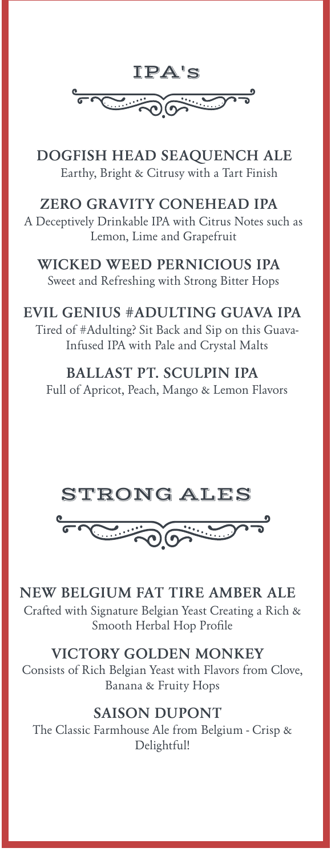

**DOGFISH HEAD SEAQUENCH ALE** Earthy, Bright & Citrusy with a Tart Finish

## **ZERO GRAVITY CONEHEAD IPA**

A Deceptively Drinkable IPA with Citrus Notes such as Lemon, Lime and Grapefruit

# **WICKED WEED PERNICIOUS IPA**

Sweet and Refreshing with Strong Bitter Hops

## **EVIL GENIUS #ADULTING GUAVA IPA**

Tired of #Adulting? Sit Back and Sip on this Guava-Infused IPA with Pale and Crystal Malts

#### **BALLAST PT. SCULPIN IPA**

Full of Apricot, Peach, Mango & Lemon Flavors





### **NEW BELGIUM FAT TIRE AMBER ALE**

Crafted with Signature Belgian Yeast Creating a Rich & Smooth Herbal Hop Profile

### **VICTORY GOLDEN MONKEY**

Consists of Rich Belgian Yeast with Flavors from Clove, Banana & Fruity Hops

### **SAISON DUPONT**

The Classic Farmhouse Ale from Belgium - Crisp & Delightful!